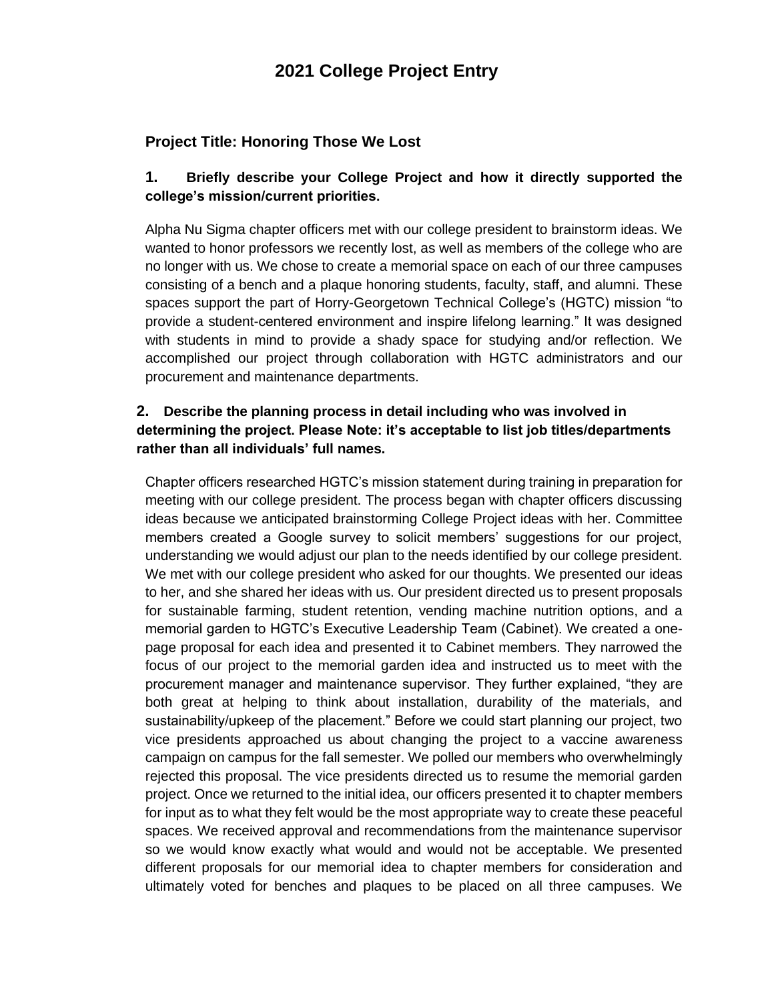## **2021 College Project Entry**

### **Project Title: Honoring Those We Lost**

#### **1. Briefly describe your College Project and how it directly supported the college's mission/current priorities.**

Alpha Nu Sigma chapter officers met with our college president to brainstorm ideas. We wanted to honor professors we recently lost, as well as members of the college who are no longer with us. We chose to create a memorial space on each of our three campuses consisting of a bench and a plaque honoring students, faculty, staff, and alumni. These spaces support the part of Horry-Georgetown Technical College's (HGTC) mission "to provide a student-centered environment and inspire lifelong learning." It was designed with students in mind to provide a shady space for studying and/or reflection. We accomplished our project through collaboration with HGTC administrators and our procurement and maintenance departments.

### **2. Describe the planning process in detail including who was involved in determining the project. Please Note: it's acceptable to list job titles/departments rather than all individuals' full names.**

Chapter officers researched HGTC's mission statement during training in preparation for meeting with our college president. The process began with chapter officers discussing ideas because we anticipated brainstorming College Project ideas with her. Committee members created a Google survey to solicit members' suggestions for our project, understanding we would adjust our plan to the needs identified by our college president. We met with our college president who asked for our thoughts. We presented our ideas to her, and she shared her ideas with us. Our president directed us to present proposals for sustainable farming, student retention, vending machine nutrition options, and a memorial garden to HGTC's Executive Leadership Team (Cabinet). We created a onepage proposal for each idea and presented it to Cabinet members. They narrowed the focus of our project to the memorial garden idea and instructed us to meet with the procurement manager and maintenance supervisor. They further explained, "they are both great at helping to think about installation, durability of the materials, and sustainability/upkeep of the placement." Before we could start planning our project, two vice presidents approached us about changing the project to a vaccine awareness campaign on campus for the fall semester. We polled our members who overwhelmingly rejected this proposal. The vice presidents directed us to resume the memorial garden project. Once we returned to the initial idea, our officers presented it to chapter members for input as to what they felt would be the most appropriate way to create these peaceful spaces. We received approval and recommendations from the maintenance supervisor so we would know exactly what would and would not be acceptable. We presented different proposals for our memorial idea to chapter members for consideration and ultimately voted for benches and plaques to be placed on all three campuses. We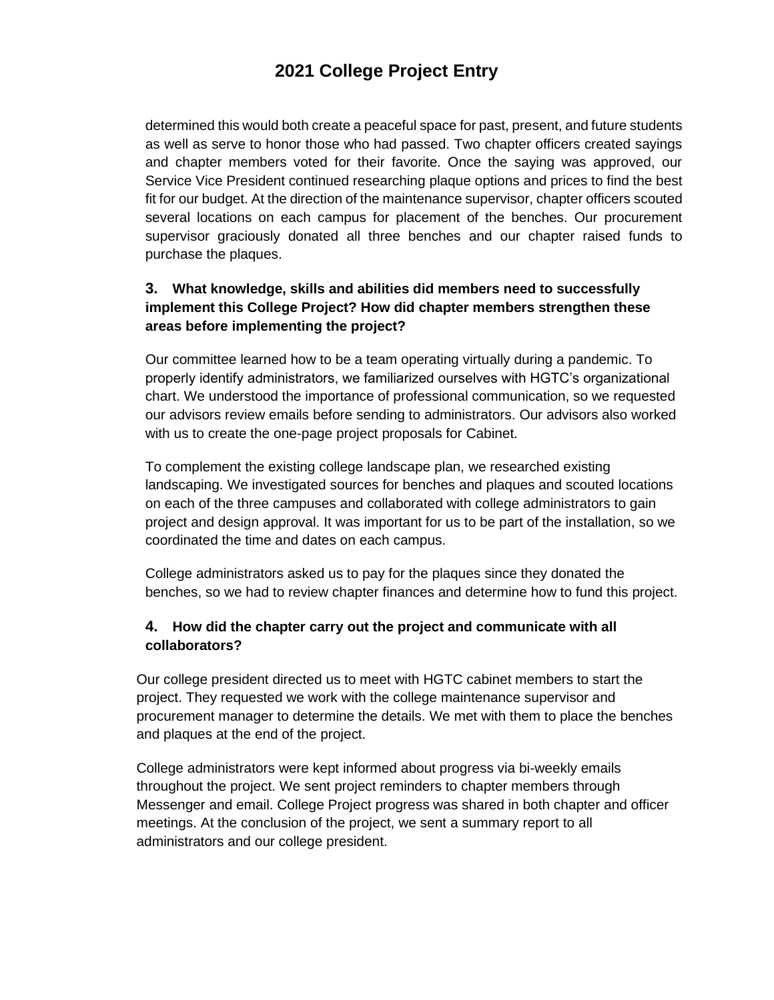# **2021 College Project Entry**

determined this would both create a peaceful space for past, present, and future students as well as serve to honor those who had passed. Two chapter officers created sayings and chapter members voted for their favorite. Once the saying was approved, our Service Vice President continued researching plaque options and prices to find the best fit for our budget. At the direction of the maintenance supervisor, chapter officers scouted several locations on each campus for placement of the benches. Our procurement supervisor graciously donated all three benches and our chapter raised funds to purchase the plaques.

### **3. What knowledge, skills and abilities did members need to successfully implement this College Project? How did chapter members strengthen these areas before implementing the project?**

Our committee learned how to be a team operating virtually during a pandemic. To properly identify administrators, we familiarized ourselves with HGTC's organizational chart. We understood the importance of professional communication, so we requested our advisors review emails before sending to administrators. Our advisors also worked with us to create the one-page project proposals for Cabinet.

To complement the existing college landscape plan, we researched existing landscaping. We investigated sources for benches and plaques and scouted locations on each of the three campuses and collaborated with college administrators to gain project and design approval. It was important for us to be part of the installation, so we coordinated the time and dates on each campus.

College administrators asked us to pay for the plaques since they donated the benches, so we had to review chapter finances and determine how to fund this project.

### **4. How did the chapter carry out the project and communicate with all collaborators?**

Our college president directed us to meet with HGTC cabinet members to start the project. They requested we work with the college maintenance supervisor and procurement manager to determine the details. We met with them to place the benches and plaques at the end of the project.

College administrators were kept informed about progress via bi-weekly emails throughout the project. We sent project reminders to chapter members through Messenger and email. College Project progress was shared in both chapter and officer meetings. At the conclusion of the project, we sent a summary report to all administrators and our college president.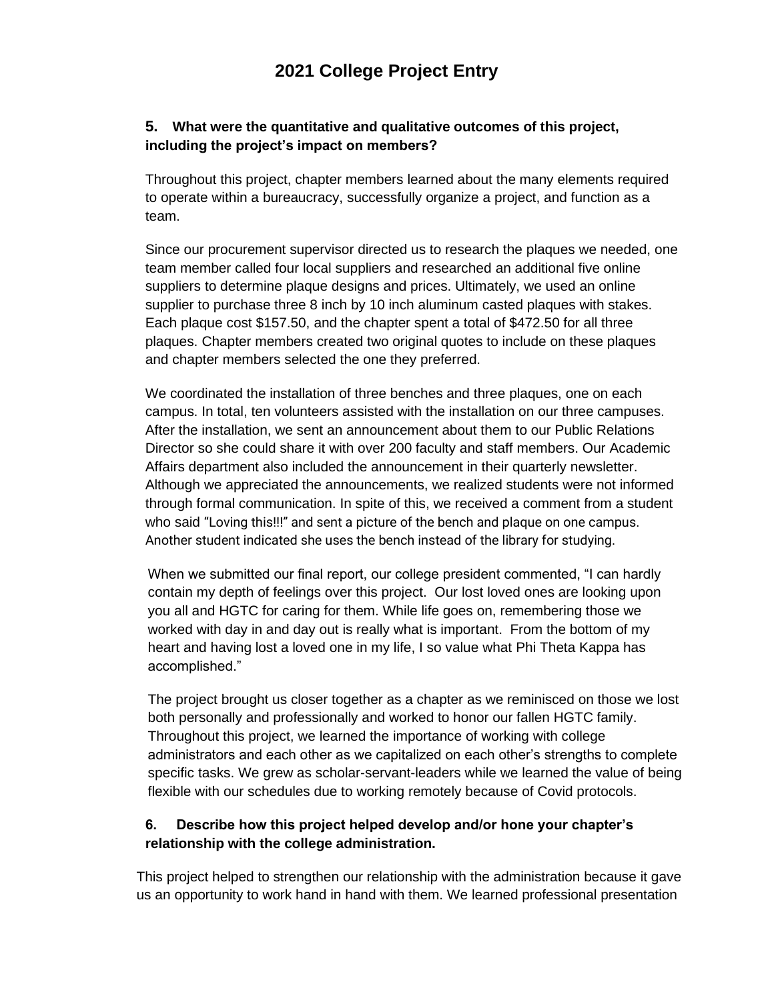### **5. What were the quantitative and qualitative outcomes of this project, including the project's impact on members?**

Throughout this project, chapter members learned about the many elements required to operate within a bureaucracy, successfully organize a project, and function as a team.

Since our procurement supervisor directed us to research the plaques we needed, one team member called four local suppliers and researched an additional five online suppliers to determine plaque designs and prices. Ultimately, we used an online supplier to purchase three 8 inch by 10 inch aluminum casted plaques with stakes. Each plaque cost \$157.50, and the chapter spent a total of \$472.50 for all three plaques. Chapter members created two original quotes to include on these plaques and chapter members selected the one they preferred.

We coordinated the installation of three benches and three plaques, one on each campus. In total, ten volunteers assisted with the installation on our three campuses. After the installation, we sent an announcement about them to our Public Relations Director so she could share it with over 200 faculty and staff members. Our Academic Affairs department also included the announcement in their quarterly newsletter. Although we appreciated the announcements, we realized students were not informed through formal communication. In spite of this, we received a comment from a student who said "Loving this!!!" and sent a picture of the bench and plaque on one campus. Another student indicated she uses the bench instead of the library for studying.

When we submitted our final report, our college president commented, "I can hardly contain my depth of feelings over this project. Our lost loved ones are looking upon you all and HGTC for caring for them. While life goes on, remembering those we worked with day in and day out is really what is important. From the bottom of my heart and having lost a loved one in my life, I so value what Phi Theta Kappa has accomplished."

The project brought us closer together as a chapter as we reminisced on those we lost both personally and professionally and worked to honor our fallen HGTC family. Throughout this project, we learned the importance of working with college administrators and each other as we capitalized on each other's strengths to complete specific tasks. We grew as scholar-servant-leaders while we learned the value of being flexible with our schedules due to working remotely because of Covid protocols.

#### **6. Describe how this project helped develop and/or hone your chapter's relationship with the college administration.**

This project helped to strengthen our relationship with the administration because it gave us an opportunity to work hand in hand with them. We learned professional presentation